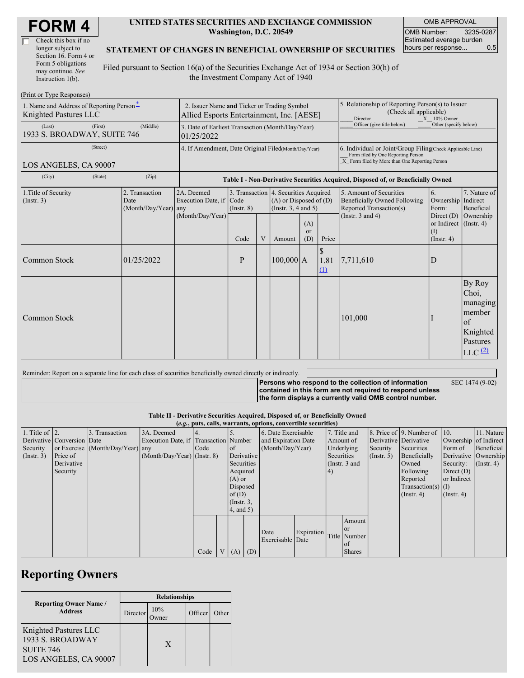| Check this box if no  |  |
|-----------------------|--|
| longer subject to     |  |
| Section 16. Form 4 or |  |
| Form 5 obligations    |  |
| may continue. See     |  |
| Instruction 1(b).     |  |

#### **UNITED STATES SECURITIES AND EXCHANGE COMMISSION Washington, D.C. 20549**

OMB APPROVAL OMB Number: 3235-0287 Estimated average burden hours per response... 0.5

#### **STATEMENT OF CHANGES IN BENEFICIAL OWNERSHIP OF SECURITIES**

Filed pursuant to Section 16(a) of the Securities Exchange Act of 1934 or Section 30(h) of the Investment Company Act of 1940

| (Print or Type Responses)                                                                 |                                                  |                                                                                          |                                                          |   |                                                                                                 |                             |                                                                                                                                                    |                                                                                           |                                                                   |                                                                                    |  |
|-------------------------------------------------------------------------------------------|--------------------------------------------------|------------------------------------------------------------------------------------------|----------------------------------------------------------|---|-------------------------------------------------------------------------------------------------|-----------------------------|----------------------------------------------------------------------------------------------------------------------------------------------------|-------------------------------------------------------------------------------------------|-------------------------------------------------------------------|------------------------------------------------------------------------------------|--|
| 1. Name and Address of Reporting Person*<br>Knighted Pastures LLC                         |                                                  | 2. Issuer Name and Ticker or Trading Symbol<br>Allied Esports Entertainment, Inc. [AESE] |                                                          |   |                                                                                                 |                             | 5. Relationship of Reporting Person(s) to Issuer<br>(Check all applicable)<br>Director                                                             | $X = 10\%$ Owner                                                                          |                                                                   |                                                                                    |  |
| (First)<br>(Last)<br>1933 S. BROADWAY, SUITE 746                                          | (Middle)                                         | 3. Date of Earliest Transaction (Month/Day/Year)<br>01/25/2022                           |                                                          |   |                                                                                                 |                             | Officer (give title below)                                                                                                                         | Other (specify below)                                                                     |                                                                   |                                                                                    |  |
| (Street)<br>4. If Amendment, Date Original Filed(Month/Day/Year)<br>LOS ANGELES, CA 90007 |                                                  |                                                                                          |                                                          |   |                                                                                                 |                             | 6. Individual or Joint/Group Filing(Check Applicable Line)<br>Form filed by One Reporting Person<br>X Form filed by More than One Reporting Person |                                                                                           |                                                                   |                                                                                    |  |
| (City)<br>(State)                                                                         | (Zip)                                            |                                                                                          |                                                          |   |                                                                                                 |                             |                                                                                                                                                    | Table I - Non-Derivative Securities Acquired, Disposed of, or Beneficially Owned          |                                                                   |                                                                                    |  |
| 1. Title of Security<br>(Insert. 3)                                                       | 2. Transaction<br>Date<br>$(Month/Day/Year)$ any |                                                                                          | 2A. Deemed<br>Execution Date, if Code<br>$($ Instr. $8)$ |   | 3. Transaction 4. Securities Acquired<br>$(A)$ or Disposed of $(D)$<br>(Instr. $3, 4$ and $5$ ) |                             |                                                                                                                                                    | 5. Amount of Securities<br><b>Beneficially Owned Following</b><br>Reported Transaction(s) | 6.<br>Ownership Indirect<br>Form:                                 | 7. Nature of<br>Beneficial                                                         |  |
|                                                                                           |                                                  | (Month/Day/Year)                                                                         | Code                                                     | V | Amount                                                                                          | (A)<br><sub>or</sub><br>(D) | Price                                                                                                                                              | (Instr. $3$ and $4$ )                                                                     | Direct $(D)$<br>or Indirect (Instr. 4)<br>(I)<br>$($ Instr. 4 $)$ | Ownership                                                                          |  |
| Common Stock                                                                              | 01/25/2022                                       |                                                                                          | $\mathbf{P}$                                             |   | $100,000$ A                                                                                     |                             | $\mathbb{S}$<br>1.81<br>$\Omega$                                                                                                                   | 7,711,610                                                                                 | D                                                                 |                                                                                    |  |
| Common Stock                                                                              |                                                  |                                                                                          |                                                          |   |                                                                                                 |                             |                                                                                                                                                    | 101,000                                                                                   |                                                                   | By Roy<br>Choi,<br>managing<br>member<br>of<br>Knighted<br>Pastures<br>$LLC$ $(2)$ |  |

### Reminder: Report on a separate line for each class of securities beneficially owned directly or indirectly.

**Persons who respond to the collection of information contained in this form are not required to respond unless the form displays a currently valid OMB control number.**

SEC 1474 (9-02)

#### **Table II - Derivative Securities Acquired, Disposed of, or Beneficially Owned**

|                        |                            |                                  |                                       |      |    |                  |               | (e.g., puts, calls, warrants, options, convertible securities) |            |            |                 |                       |                                              |                       |                      |
|------------------------|----------------------------|----------------------------------|---------------------------------------|------|----|------------------|---------------|----------------------------------------------------------------|------------|------------|-----------------|-----------------------|----------------------------------------------|-----------------------|----------------------|
| 1. Title of $\vert$ 2. |                            | . Transaction                    | 3A. Deemed                            |      |    |                  |               | 6. Date Exercisable                                            |            |            | 7. Title and    |                       | 8. Price of $\vert$ 9. Number of $\vert$ 10. |                       | 11. Nature           |
|                        | Derivative Conversion Date |                                  | Execution Date, if Transaction Number |      |    |                  |               | and Expiration Date                                            |            | Amount of  |                 | Derivative Derivative |                                              | Ownership of Indirect |                      |
| Security               |                            | or Exercise (Month/Day/Year) any |                                       | Code | of |                  |               | (Month/Day/Year)                                               |            |            | Underlying      | Security              | Securities                                   | Form of               | Beneficial           |
| (Insert. 3)            | Price of                   |                                  | $(Month/Day/Year)$ (Instr. 8)         |      |    |                  | Derivative    |                                                                |            | Securities |                 | $($ Instr. 5 $)$      | Beneficially                                 |                       | Derivative Ownership |
|                        | Derivative                 |                                  |                                       |      |    | Securities       |               |                                                                |            |            | (Instr. $3$ and |                       | Owned                                        | Security:             | $($ Instr. 4 $)$     |
|                        | Security                   |                                  |                                       |      |    | Acquired         |               |                                                                |            | $\vert 4)$ |                 |                       | Following                                    | Direct $(D)$          |                      |
|                        |                            |                                  |                                       |      |    | $(A)$ or         |               |                                                                |            |            |                 |                       | Reported                                     | or Indirect           |                      |
|                        |                            |                                  |                                       |      |    | Disposed         |               |                                                                |            |            |                 |                       | Transaction(s) $(I)$                         |                       |                      |
|                        |                            |                                  |                                       |      |    | of $(D)$         |               |                                                                |            |            |                 |                       | $($ Instr. 4)                                | $($ Instr. 4 $)$      |                      |
|                        |                            |                                  |                                       |      |    | $($ Instr. $3$ , |               |                                                                |            |            |                 |                       |                                              |                       |                      |
|                        |                            |                                  |                                       |      |    | $4$ , and $5$ )  |               |                                                                |            |            |                 |                       |                                              |                       |                      |
|                        |                            |                                  |                                       |      |    |                  |               |                                                                |            |            | Amount          |                       |                                              |                       |                      |
|                        |                            |                                  |                                       |      |    |                  |               |                                                                |            |            | or or           |                       |                                              |                       |                      |
|                        |                            |                                  |                                       |      |    |                  |               | Date                                                           | Expiration |            | Title Number    |                       |                                              |                       |                      |
|                        |                            |                                  |                                       |      |    |                  |               | Exercisable Date                                               |            |            | of              |                       |                                              |                       |                      |
|                        |                            |                                  |                                       | Code |    |                  | V   (A)   (D) |                                                                |            |            | <b>Shares</b>   |                       |                                              |                       |                      |

# **Reporting Owners**

|                                                                                               | <b>Relationships</b> |              |         |       |  |  |
|-----------------------------------------------------------------------------------------------|----------------------|--------------|---------|-------|--|--|
| <b>Reporting Owner Name /</b><br><b>Address</b>                                               | Director             | 10%<br>)wner | Officer | Other |  |  |
| <b>Knighted Pastures LLC</b><br>1933 S. BROADWAY<br><b>SUITE 746</b><br>LOS ANGELES, CA 90007 |                      | X            |         |       |  |  |